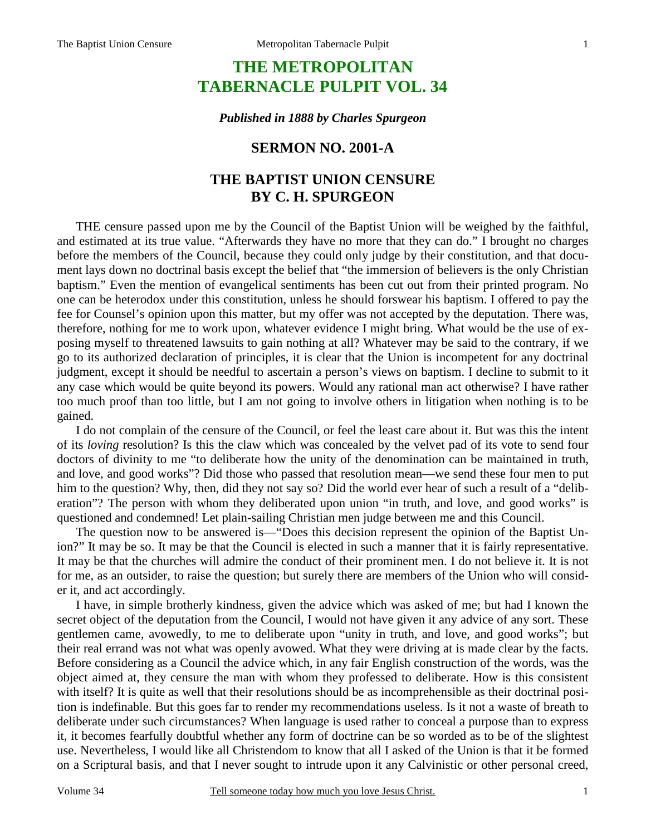# **THE METROPOLITAN TABERNACLE PULPIT VOL. 34**

#### *Published in 1888 by Charles Spurgeon*

### **SERMON NO. 2001-A**

# **THE BAPTIST UNION CENSURE BY C. H. SPURGEON**

THE censure passed upon me by the Council of the Baptist Union will be weighed by the faithful, and estimated at its true value. "Afterwards they have no more that they can do." I brought no charges before the members of the Council, because they could only judge by their constitution, and that document lays down no doctrinal basis except the belief that "the immersion of believers is the only Christian baptism." Even the mention of evangelical sentiments has been cut out from their printed program. No one can be heterodox under this constitution, unless he should forswear his baptism. I offered to pay the fee for Counsel's opinion upon this matter, but my offer was not accepted by the deputation. There was, therefore, nothing for me to work upon, whatever evidence I might bring. What would be the use of exposing myself to threatened lawsuits to gain nothing at all? Whatever may be said to the contrary, if we go to its authorized declaration of principles, it is clear that the Union is incompetent for any doctrinal judgment, except it should be needful to ascertain a person's views on baptism. I decline to submit to it any case which would be quite beyond its powers. Would any rational man act otherwise? I have rather too much proof than too little, but I am not going to involve others in litigation when nothing is to be gained.

I do not complain of the censure of the Council, or feel the least care about it. But was this the intent of its *loving* resolution? Is this the claw which was concealed by the velvet pad of its vote to send four doctors of divinity to me "to deliberate how the unity of the denomination can be maintained in truth, and love, and good works"? Did those who passed that resolution mean—we send these four men to put him to the question? Why, then, did they not say so? Did the world ever hear of such a result of a "deliberation"? The person with whom they deliberated upon union "in truth, and love, and good works" is questioned and condemned! Let plain-sailing Christian men judge between me and this Council.

The question now to be answered is—"Does this decision represent the opinion of the Baptist Union?" It may be so. It may be that the Council is elected in such a manner that it is fairly representative. It may be that the churches will admire the conduct of their prominent men. I do not believe it. It is not for me, as an outsider, to raise the question; but surely there are members of the Union who will consider it, and act accordingly.

I have, in simple brotherly kindness, given the advice which was asked of me; but had I known the secret object of the deputation from the Council, I would not have given it any advice of any sort. These gentlemen came, avowedly, to me to deliberate upon "unity in truth, and love, and good works"; but their real errand was not what was openly avowed. What they were driving at is made clear by the facts. Before considering as a Council the advice which, in any fair English construction of the words, was the object aimed at, they censure the man with whom they professed to deliberate. How is this consistent with itself? It is quite as well that their resolutions should be as incomprehensible as their doctrinal position is indefinable. But this goes far to render my recommendations useless. Is it not a waste of breath to deliberate under such circumstances? When language is used rather to conceal a purpose than to express it, it becomes fearfully doubtful whether any form of doctrine can be so worded as to be of the slightest use. Nevertheless, I would like all Christendom to know that all I asked of the Union is that it be formed on a Scriptural basis, and that I never sought to intrude upon it any Calvinistic or other personal creed,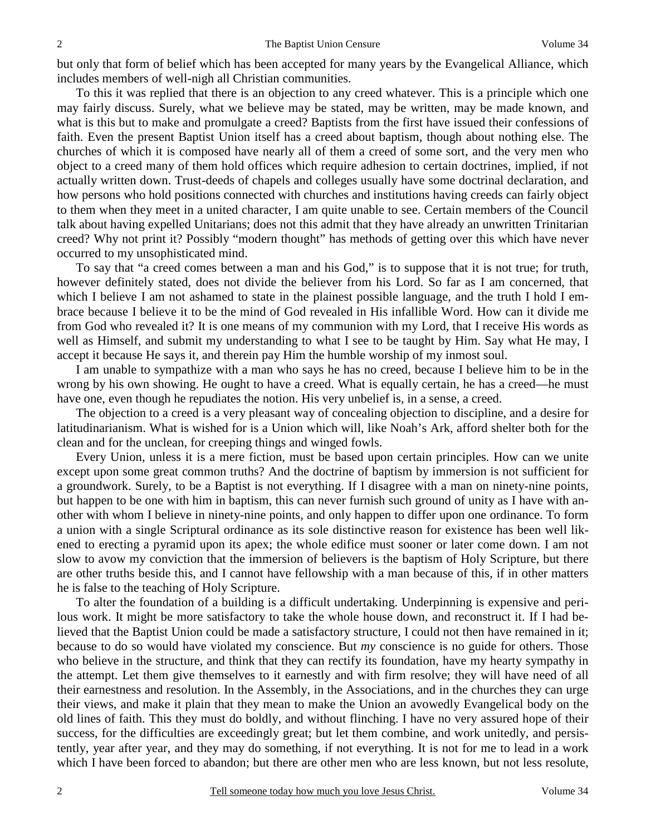but only that form of belief which has been accepted for many years by the Evangelical Alliance, which includes members of well-nigh all Christian communities.

To this it was replied that there is an objection to any creed whatever. This is a principle which one may fairly discuss. Surely, what we believe may be stated, may be written, may be made known, and what is this but to make and promulgate a creed? Baptists from the first have issued their confessions of faith. Even the present Baptist Union itself has a creed about baptism, though about nothing else. The churches of which it is composed have nearly all of them a creed of some sort, and the very men who object to a creed many of them hold offices which require adhesion to certain doctrines, implied, if not actually written down. Trust-deeds of chapels and colleges usually have some doctrinal declaration, and how persons who hold positions connected with churches and institutions having creeds can fairly object to them when they meet in a united character, I am quite unable to see. Certain members of the Council talk about having expelled Unitarians; does not this admit that they have already an unwritten Trinitarian creed? Why not print it? Possibly "modern thought" has methods of getting over this which have never occurred to my unsophisticated mind.

To say that "a creed comes between a man and his God," is to suppose that it is not true; for truth, however definitely stated, does not divide the believer from his Lord. So far as I am concerned, that which I believe I am not ashamed to state in the plainest possible language, and the truth I hold I embrace because I believe it to be the mind of God revealed in His infallible Word. How can it divide me from God who revealed it? It is one means of my communion with my Lord, that I receive His words as well as Himself, and submit my understanding to what I see to be taught by Him. Say what He may, I accept it because He says it, and therein pay Him the humble worship of my inmost soul.

I am unable to sympathize with a man who says he has no creed, because I believe him to be in the wrong by his own showing. He ought to have a creed. What is equally certain, he has a creed—he must have one, even though he repudiates the notion. His very unbelief is, in a sense, a creed.

The objection to a creed is a very pleasant way of concealing objection to discipline, and a desire for latitudinarianism. What is wished for is a Union which will, like Noah's Ark, afford shelter both for the clean and for the unclean, for creeping things and winged fowls.

Every Union, unless it is a mere fiction, must be based upon certain principles. How can we unite except upon some great common truths? And the doctrine of baptism by immersion is not sufficient for a groundwork. Surely, to be a Baptist is not everything. If I disagree with a man on ninety-nine points, but happen to be one with him in baptism, this can never furnish such ground of unity as I have with another with whom I believe in ninety-nine points, and only happen to differ upon one ordinance. To form a union with a single Scriptural ordinance as its sole distinctive reason for existence has been well likened to erecting a pyramid upon its apex; the whole edifice must sooner or later come down. I am not slow to avow my conviction that the immersion of believers is the baptism of Holy Scripture, but there are other truths beside this, and I cannot have fellowship with a man because of this, if in other matters he is false to the teaching of Holy Scripture.

To alter the foundation of a building is a difficult undertaking. Underpinning is expensive and perilous work. It might be more satisfactory to take the whole house down, and reconstruct it. If I had believed that the Baptist Union could be made a satisfactory structure, I could not then have remained in it; because to do so would have violated my conscience. But *my* conscience is no guide for others. Those who believe in the structure, and think that they can rectify its foundation, have my hearty sympathy in the attempt. Let them give themselves to it earnestly and with firm resolve; they will have need of all their earnestness and resolution. In the Assembly, in the Associations, and in the churches they can urge their views, and make it plain that they mean to make the Union an avowedly Evangelical body on the old lines of faith. This they must do boldly, and without flinching. I have no very assured hope of their success, for the difficulties are exceedingly great; but let them combine, and work unitedly, and persistently, year after year, and they may do something, if not everything. It is not for me to lead in a work which I have been forced to abandon; but there are other men who are less known, but not less resolute,